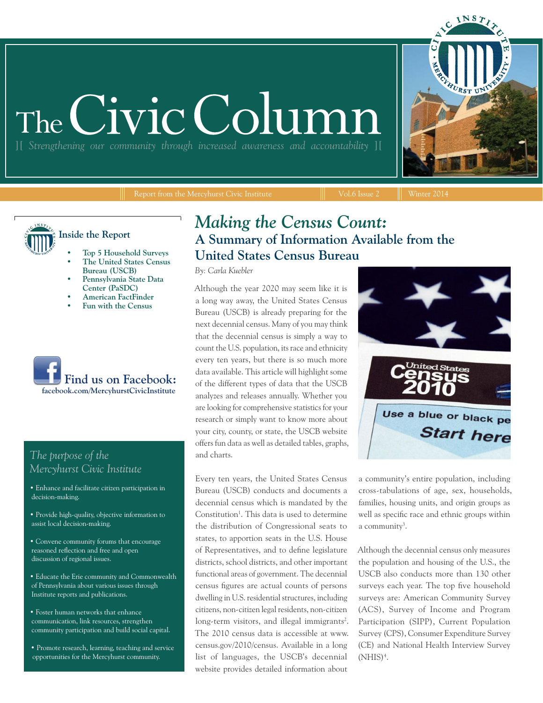# The Civic Colu

][ *Strengthening our community through increased awareness and accountability* ][

Report from the Mercyhurst Civic Institute  $\|\cdot\|$  Vol.6 Issue 2  $\|\cdot\|$  Winter 2014

**Inside the Report**

- **• Top 5 Household Surveys**
- **• The United States Census Bureau (USCB)**
- **• Pennsylvania State Data Center (PaSDC)**
- **• American FactFinder**
- **• Fun with the Census**



## *The purpose of the Mercyhurst Civic Institute*

- Enhance and facilitate citizen participation in decision-making.
- Provide high-quality, objective information to assist local decision-making.
- Convene community forums that encourage reasoned reflection and free and open discussion of regional issues.
- Educate the Erie community and Commonwealth of Pennsylvania about various issues through Institute reports and publications.
- Foster human networks that enhance communication, link resources, strengthen community participation and build social capital.
- Promote research, learning, teaching and service opportunities for the Mercyhurst community.

## *Making the Census Count:*  **A Summary of Information Available from the United States Census Bureau**

*By: Carla Kuebler*

Although the year 2020 may seem like it is a long way away, the United States Census Bureau (USCB) is already preparing for the next decennial census. Many of you may think that the decennial census is simply a way to count the U.S. population, its race and ethnicity every ten years, but there is so much more data available. This article will highlight some of the different types of data that the USCB analyzes and releases annually. Whether you are looking for comprehensive statistics for your research or simply want to know more about your city, county, or state, the USCB website offers fun data as well as detailed tables, graphs, and charts.

Every ten years, the United States Census Bureau (USCB) conducts and documents a decennial census which is mandated by the Constitution<sup>1</sup>. This data is used to determine the distribution of Congressional seats to states, to apportion seats in the U.S. House of Representatives, and to define legislature districts, school districts, and other important functional areas of government. The decennial census figures are actual counts of persons dwelling in U.S. residential structures, including citizens, non-citizen legal residents, non-citizen long-term visitors, and illegal immigrants<sup>2</sup>. The 2010 census data is accessible at www. census.gov/2010/census. Available in a long list of languages, the USCB's decennial website provides detailed information about



a community's entire population, including cross-tabulations of age, sex, households, families, housing units, and origin groups as well as specific race and ethnic groups within a community<sup>3</sup>.

Although the decennial census only measures the population and housing of the U.S., the USCB also conducts more than 130 other surveys each year. The top five household surveys are: American Community Survey (ACS), Survey of Income and Program Participation (SIPP), Current Population Survey (CPS), Consumer Expenditure Survey (CE) and National Health Interview Survey  $(NHIS)<sup>4</sup>$ .

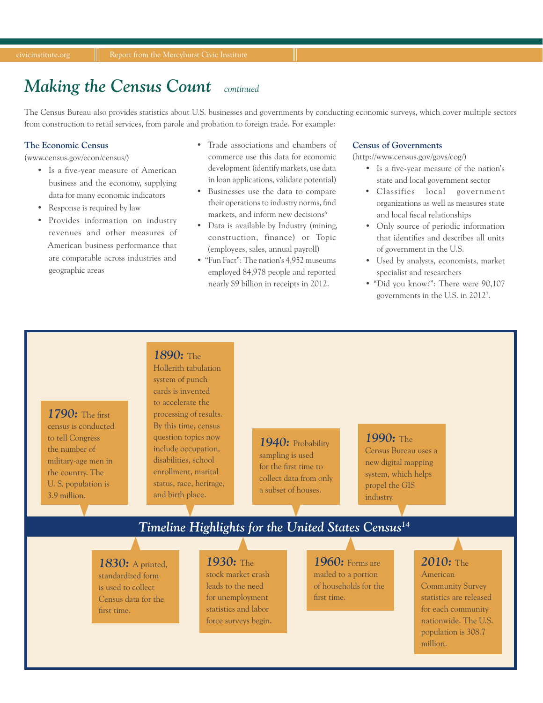#### *Making the Census Count continued*

The Census Bureau also provides statistics about U.S. businesses and governments by conducting economic surveys, which cover multiple sectors from construction to retail services, from parole and probation to foreign trade. For example:

#### **The Economic Census**

(www.census.gov/econ/census/)

- Is a five-year measure of American business and the economy, supplying data for many economic indicators
- Response is required by law
- Provides information on industry revenues and other measures of American business performance that are comparable across industries and geographic areas
- Trade associations and chambers of commerce use this data for economic development (identify markets, use data in loan applications, validate potential)
- Businesses use the data to compare their operations to industry norms, find markets, and inform new decisions<sup>6</sup>
- Data is available by Industry (mining, construction, finance) or Topic (employees, sales, annual payroll)
- "Fun Fact": The nation's 4,952 museums employed 84,978 people and reported nearly \$9 billion in receipts in 2012.

#### **Census of Governments**

(http://www.census.gov/govs/cog/)

- Is a five-year measure of the nation's state and local government sector
- Classifies local government organizations as well as measures state and local fiscal relationships
- Only source of periodic information that identifies and describes all units of government in the U.S.
- Used by analysts, economists, market specialist and researchers
- "Did you know?": There were 90,107 governments in the U.S. in 20127 .

## *1790:* The first census is conducted to tell Congress the number of military-age men in the country. The U. S. population is 3.9 million.

Hollerith tabulation system of punch cards is invented to accelerate the processing of results. By this time, census question topics now include occupation, disabilities, school enrollment, marital status, race, heritage, and birth place.

*1890:* The

## *1940:* Probability

sampling is used for the first time to collect data from only a subset of houses.

## *1990:* The

Census Bureau uses a new digital mapping system, which helps propel the GIS industry.

## *Timeline Highlights for the United States Census14*

*1830:* A printed, standardized form is used to collect Census data for the first time.

## *1930:* The

stock market crash leads to the need for unemployment statistics and labor force surveys begin.

*1960:* Forms are mailed to a portion of households for the first time.

## *2010:* The

American Community Survey statistics are released for each community nationwide. The U.S. population is 308.7 million.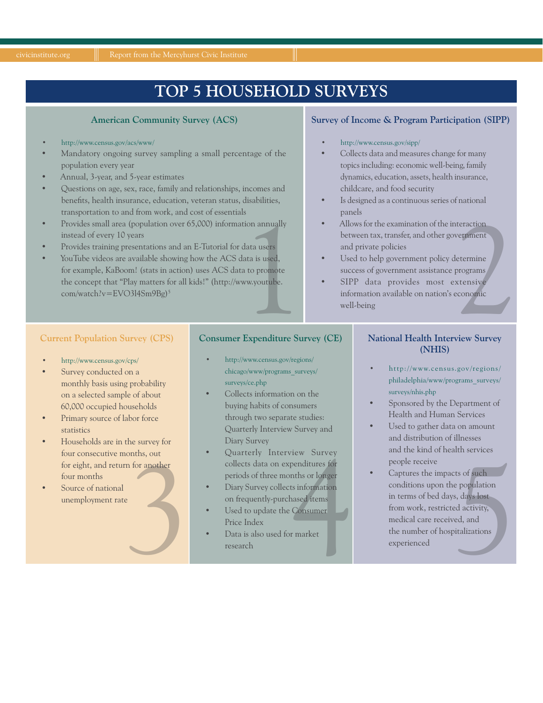# **TOP 5 HOUSEHOLD SURVEYS**

#### **American Community Survey (ACS)**

#### • http://www.census.gov/acs/www/

- Mandatory ongoing survey sampling a small percentage of the population every year
- Annual, 3-year, and 5-year estimates
- Questions on age, sex, race, family and relationships, incomes and benefits, health insurance, education, veteran status, disabilities, transportation to and from work, and cost of essentials
- Provides small area (population over 65,000) information annually instead of every 10 years
- Provides training presentations and an E-Tutorial for data users
- <sup>1</sup><br>
ion annually<br>
data users<br>
lata is used,<br>
a to promote<br>
ww.youtube.<br>
Francoditure Sy YouTube videos are available showing how the ACS data is used, for example, KaBoom! (stats in action) uses ACS data to promote the concept that "Play matters for all kids!" (http://www.youtube. com/watch?v=EVO3l4Sm9Bg)<sup>5</sup>

### **Survey of Income & Program Participation (SIPP)**

- http://www.census.gov/sipp/
- Collects data and measures change for many topics including: economic well-being, family dynamics, education, assets, health insurance, childcare, and food security
- Is designed as a continuous series of national panels
- Experiment<br>
Externine<br>
Extensive<br>
Extensive<br>
Extensive<br>
Extensive<br>
Extensive<br>
Extensive • Allows for the examination of the interaction between tax, transfer, and other government and private policies
- Used to help government policy determine success of government assistance programs
- SIPP data provides most extensive information available on nation's economic well-being

### **Current Population Survey (CPS)**

- http://www.census.gov/cps/
- Survey conducted on a monthly basis using probability on a selected sample of about 60,000 occupied households
- Primary source of labor force statistics
- 3 • Households are in the survey for four consecutive months, out for eight, and return for another four months
- Source of national

### **Consumer Expenditure Survey (CE)**

- http://www.census.gov/regions/ chicago/www/programs\_surveys/ surveys/ce.php
- Collects information on the buying habits of consumers through two separate studies: Quarterly Interview Survey and Diary Survey
- unemployment rate 4 • Quarterly Interview Survey collects data on expenditures for periods of three months or longer
	- Diary Survey collects information on frequently-purchased items
	- Used to update the Consumer Price Index
	- Data is also used for market

#### **National Health Interview Survey (NHIS)**

- http://www.census.gov/regions/ philadelphia/www/programs\_surveys/ surveys/nhis.php
- Sponsored by the Department of Health and Human Services
- Used to gather data on amount and distribution of illnesses and the kind of health services people receive
- Expectition conditions of the months of original terms of such periods of three months or longer<br>
Diary Survey collects information<br>
on frequently-purchased items<br>
Used to update the Consumer<br>
Price Index<br>
Data is also use Captures the impacts of such conditions upon the population in terms of bed days, days lost from work, restricted activity, medical care received, and the number of hospitalizations experienced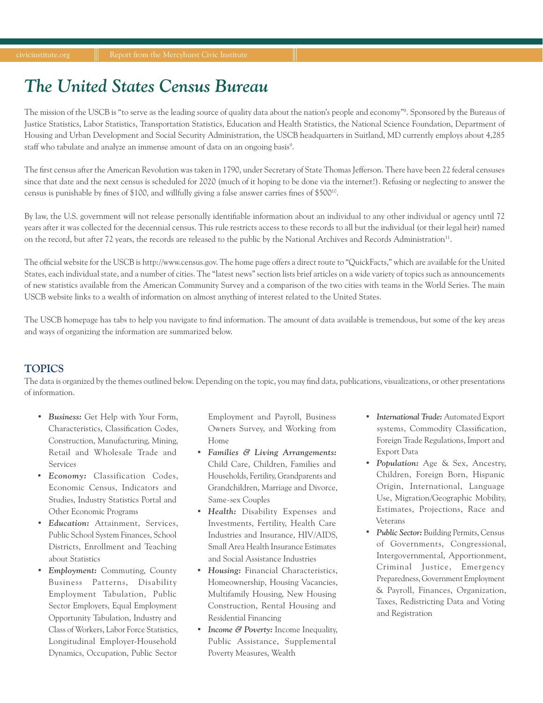# *The United States Census Bureau*

The mission of the USCB is "to serve as the leading source of quality data about the nation's people and economy"<sup>8</sup>. Sponsored by the Bureaus of Justice Statistics, Labor Statistics, Transportation Statistics, Education and Health Statistics, the National Science Foundation, Department of Housing and Urban Development and Social Security Administration, the USCB headquarters in Suitland, MD currently employs about 4,285 staff who tabulate and analyze an immense amount of data on an ongoing basis<sup>9</sup>.

The first census after the American Revolution was taken in 1790, under Secretary of State Thomas Jefferson. There have been 22 federal censuses since that date and the next census is scheduled for 2020 (much of it hoping to be done via the internet!). Refusing or neglecting to answer the census is punishable by fines of \$100, and willfully giving a false answer carries fines of \$50010.

By law, the U.S. government will not release personally identifiable information about an individual to any other individual or agency until 72 years after it was collected for the decennial census. This rule restricts access to these records to all but the individual (or their legal heir) named on the record, but after 72 years, the records are released to the public by the National Archives and Records Administration11.

The official website for the USCB is http://www.census.gov. The home page offers a direct route to "QuickFacts," which are available for the United States, each individual state, and a number of cities. The "latest news" section lists brief articles on a wide variety of topics such as announcements of new statistics available from the American Community Survey and a comparison of the two cities with teams in the World Series. The main USCB website links to a wealth of information on almost anything of interest related to the United States.

The USCB homepage has tabs to help you navigate to find information. The amount of data available is tremendous, but some of the key areas and ways of organizing the information are summarized below.

## **TOPICS**

The data is organized by the themes outlined below. Depending on the topic, you may find data, publications, visualizations, or other presentations of information.

- *• Business:* Get Help with Your Form, Characteristics, Classification Codes, Construction, Manufacturing, Mining, Retail and Wholesale Trade and Services
- *• Economy:* Classification Codes, Economic Census, Indicators and Studies, Industry Statistics Portal and Other Economic Programs
- *• Education:* Attainment, Services, Public School System Finances, School Districts, Enrollment and Teaching about Statistics
- *• Employment:* Commuting, County Business Patterns, Disability Employment Tabulation, Public Sector Employers, Equal Employment Opportunity Tabulation, Industry and Class of Workers, Labor Force Statistics, Longitudinal Employer-Household Dynamics, Occupation, Public Sector

Employment and Payroll, Business Owners Survey, and Working from Home

- *• Families & Living Arrangements:* Child Care, Children, Families and Households, Fertility, Grandparents and Grandchildren, Marriage and Divorce, Same-sex Couples
- *• Health:* Disability Expenses and Investments, Fertility, Health Care Industries and Insurance, HIV/AIDS, Small Area Health Insurance Estimates and Social Assistance Industries
- *• Housing:* Financial Characteristics, Homeownership, Housing Vacancies, Multifamily Housing, New Housing Construction, Rental Housing and Residential Financing
- *• Income & Poverty:* Income Inequality, Public Assistance, Supplemental Poverty Measures, Wealth
- *• International Trade:* Automated Export systems, Commodity Classification, Foreign Trade Regulations, Import and Export Data
- *• Population:* Age & Sex, Ancestry, Children, Foreign Born, Hispanic Origin, International, Language Use, Migration/Geographic Mobility, Estimates, Projections, Race and Veterans
- *• Public Sector:* Building Permits, Census of Governments, Congressional, Intergovernmental, Apportionment, Criminal Justice, Emergency Preparedness, Government Employment & Payroll, Finances, Organization, Taxes, Redistricting Data and Voting and Registration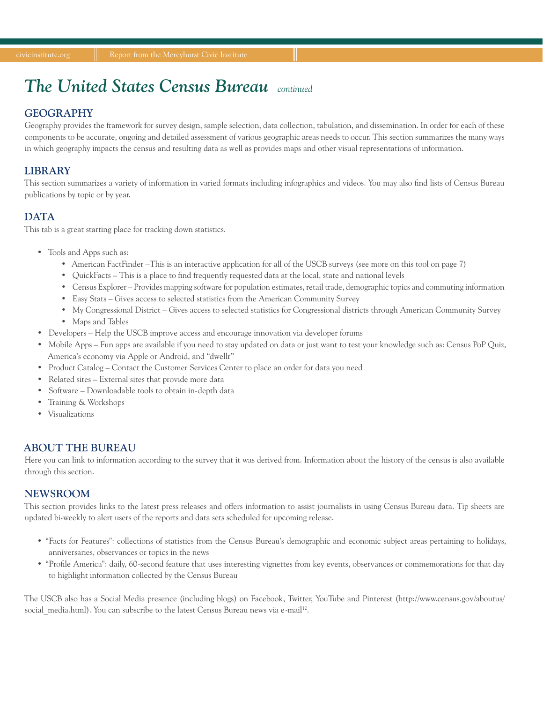# *The United States Census Bureau continued*

## **GEOGRAPHY**

Geography provides the framework for survey design, sample selection, data collection, tabulation, and dissemination. In order for each of these components to be accurate, ongoing and detailed assessment of various geographic areas needs to occur. This section summarizes the many ways in which geography impacts the census and resulting data as well as provides maps and other visual representations of information.

## **LIBRARY**

This section summarizes a variety of information in varied formats including infographics and videos. You may also find lists of Census Bureau publications by topic or by year.

## **DATA**

This tab is a great starting place for tracking down statistics.

- Tools and Apps such as:
	- American FactFinder –This is an interactive application for all of the USCB surveys (see more on this tool on page 7)
	- QuickFacts This is a place to find frequently requested data at the local, state and national levels
	- Census Explorer Provides mapping software for population estimates, retail trade, demographic topics and commuting information
	- Easy Stats Gives access to selected statistics from the American Community Survey
	- My Congressional District Gives access to selected statistics for Congressional districts through American Community Survey
	- Maps and Tables
- Developers Help the USCB improve access and encourage innovation via developer forums
- Mobile Apps Fun apps are available if you need to stay updated on data or just want to test your knowledge such as: Census PoP Quiz, America's economy via Apple or Android, and "dwellr"
- Product Catalog Contact the Customer Services Center to place an order for data you need
- Related sites External sites that provide more data
- Software Downloadable tools to obtain in-depth data
- Training & Workshops
- Visualizations

## **ABOUT THE BUREAU**

Here you can link to information according to the survey that it was derived from. Information about the history of the census is also available through this section.

## **NEWSROOM**

This section provides links to the latest press releases and offers information to assist journalists in using Census Bureau data. Tip sheets are updated bi-weekly to alert users of the reports and data sets scheduled for upcoming release.

- "Facts for Features": collections of statistics from the Census Bureau's demographic and economic subject areas pertaining to holidays, anniversaries, observances or topics in the news
- "Profile America": daily, 60-second feature that uses interesting vignettes from key events, observances or commemorations for that day to highlight information collected by the Census Bureau

The USCB also has a Social Media presence (including blogs) on Facebook, Twitter, YouTube and Pinterest (http://www.census.gov/aboutus/ social media.html). You can subscribe to the latest Census Bureau news via e-mail<sup>12</sup>.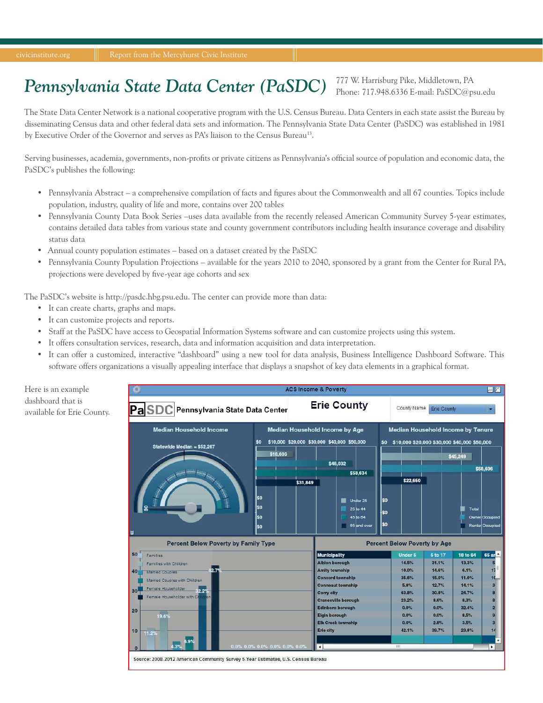# *Pennsylvania State Data Center (PaSDC)*

777 W. Harrisburg Pike, Middletown, PA Phone: 717.948.6336 E-mail: PaSDC@psu.edu

The State Data Center Network is a national cooperative program with the U.S. Census Bureau. Data Centers in each state assist the Bureau by disseminating Census data and other federal data sets and information. The Pennsylvania State Data Center (PaSDC) was established in 1981 by Executive Order of the Governor and serves as PA's liaison to the Census Bureau13.

Serving businesses, academia, governments, non-profits or private citizens as Pennsylvania's official source of population and economic data, the PaSDC's publishes the following:

- Pennsylvania Abstract a comprehensive compilation of facts and figures about the Commonwealth and all 67 counties. Topics include population, industry, quality of life and more, contains over 200 tables
- Pennsylvania County Data Book Series –uses data available from the recently released American Community Survey 5-year estimates, contains detailed data tables from various state and county government contributors including health insurance coverage and disability status data
- Annual county population estimates based on a dataset created by the PaSDC
- Pennsylvania County Population Projections available for the years 2010 to 2040, sponsored by a grant from the Center for Rural PA, projections were developed by five-year age cohorts and sex

The PaSDC's website is http://pasdc.hbg.psu.edu. The center can provide more than data:

- It can create charts, graphs and maps.
- It can customize projects and reports.
- Staff at the PaSDC have access to Geospatial Information Systems software and can customize projects using this system.
- It offers consultation services, research, data and information acquisition and data interpretation.
- It can offer a customized, interactive "dashboard" using a new tool for data analysis, Business Intelligence Dashboard Software. This software offers organizations a visually appealing interface that displays a snapshot of key data elements in a graphical format.

Here is an example dashboard that is available for Erie County.

|                                                                                  |                                                                                             | <b>ACS Income &amp; Poverty</b>                 |                                                                                                |                    |               | $\Box$ M                                 |
|----------------------------------------------------------------------------------|---------------------------------------------------------------------------------------------|-------------------------------------------------|------------------------------------------------------------------------------------------------|--------------------|---------------|------------------------------------------|
| PaSDC<br>Pennsylvania State Data Center                                          |                                                                                             | <b>Erie County</b>                              | County Name                                                                                    | <b>Erie County</b> |               |                                          |
| <b>Median Household Income</b><br>Statewide Median = \$52,267                    | Median Household Income by Age<br>\$10,000 \$20,000 \$30,000 \$40,000 \$50,000<br><b>SO</b> |                                                 | Median Household Income by Tenure<br>\$10,000 \$20,000 \$30,000 \$40,000 \$50,000<br><b>SO</b> |                    |               |                                          |
|                                                                                  | \$18,606                                                                                    | \$48,032                                        |                                                                                                |                    | \$45,249      |                                          |
|                                                                                  | \$31,849                                                                                    | \$58,634                                        | \$22,650                                                                                       |                    |               | \$58,696                                 |
| 目                                                                                | \$O<br>\$0<br>\$O<br>\$O                                                                    | Under 25<br>25 to 44<br>45 to 64<br>65 and over | lso<br>łso<br><b>SO</b>                                                                        |                    | Total         | Owner Occupied<br><b>Renter Occupied</b> |
| <b>Percent Below Poverty by Family Type</b>                                      |                                                                                             |                                                 | <b>Percent Below Poverty by Age</b>                                                            |                    |               |                                          |
| 50<br>Families                                                                   |                                                                                             | <b>Municipality</b>                             | <b>Under 5</b>                                                                                 | 5 to 17            | 18 to 64      | 65 ar                                    |
| Families with Children                                                           |                                                                                             | <b>Albion borough</b>                           | 14.5%                                                                                          | 31.1%              | 13.3%         | 5                                        |
| $2.7^{\circ}$<br>40<br><b>Married Couples</b>                                    |                                                                                             | <b>Amity township</b>                           | 10.0%                                                                                          | 14.6%              | 6.1%          | 17                                       |
| Married Couples with Children                                                    |                                                                                             | <b>Concord township</b>                         | 35.6%                                                                                          | 15.0%              | 11.0%         | 10                                       |
| Female Householder<br>2%<br>30                                                   |                                                                                             | <b>Conneaut township</b>                        | 5.8%                                                                                           | 12.7%              | 14.1%         | $\overline{3}$                           |
| Female Householder with Co<br>-en                                                |                                                                                             | <b>Corry city</b>                               | 63.8%                                                                                          | 30.8%              | 24.7%         | Я                                        |
|                                                                                  |                                                                                             | <b>Cranesville borough</b>                      | 23.2%                                                                                          | 8.6%               | 8.3%          | 8                                        |
| 20                                                                               |                                                                                             | <b>Edinboro borough</b><br><b>Elgin borough</b> | 0.0%<br>0.0%                                                                                   | 0.0%<br>0.0%       | 32.4%<br>8.5% | $\overline{2}$<br>9                      |
| 19.6%                                                                            |                                                                                             | <b>Elk Creek township</b>                       | 0.0%                                                                                           | 2.8%               | 3.5%          | 3                                        |
| 10                                                                               |                                                                                             | <b>Erie city</b>                                | 42.1%                                                                                          | 39.7%              | 23.8%         | 14                                       |
| 11.2%                                                                            |                                                                                             |                                                 |                                                                                                |                    |               |                                          |
|                                                                                  | 0.0% 0.0% 0.0% 0.0% 0.0% 0.0%                                                               | $\left  \cdot \right $                          | ни                                                                                             |                    |               | ۰<br>$\blacktriangleright$               |
| $\Omega$                                                                         |                                                                                             |                                                 |                                                                                                |                    |               |                                          |
| Source: 2008-2012 American Community Survey 5-Year Estimates, U.S. Census Bureau |                                                                                             |                                                 |                                                                                                |                    |               |                                          |
|                                                                                  |                                                                                             |                                                 |                                                                                                |                    |               |                                          |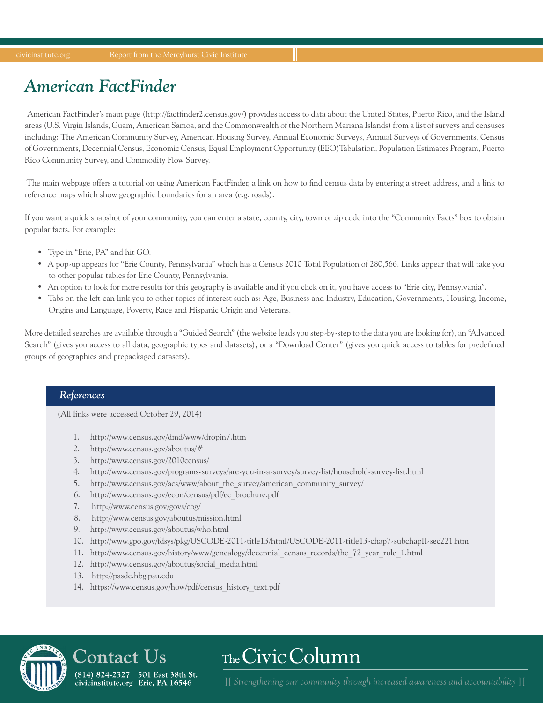# *American FactFinder*

American FactFinder's main page (http://factfinder2.census.gov/) provides access to data about the United States, Puerto Rico, and the Island areas (U.S. Virgin Islands, Guam, American Samoa, and the Commonwealth of the Northern Mariana Islands) from a list of surveys and censuses including: The American Community Survey, American Housing Survey, Annual Economic Surveys, Annual Surveys of Governments, Census of Governments, Decennial Census, Economic Census, Equal Employment Opportunity (EEO)Tabulation, Population Estimates Program, Puerto Rico Community Survey, and Commodity Flow Survey.

 The main webpage offers a tutorial on using American FactFinder, a link on how to find census data by entering a street address, and a link to reference maps which show geographic boundaries for an area (e.g. roads).

If you want a quick snapshot of your community, you can enter a state, county, city, town or zip code into the "Community Facts" box to obtain popular facts. For example:

- Type in "Erie, PA" and hit GO.
- A pop-up appears for "Erie County, Pennsylvania" which has a Census 2010 Total Population of 280,566. Links appear that will take you to other popular tables for Erie County, Pennsylvania.
- An option to look for more results for this geography is available and if you click on it, you have access to "Erie city, Pennsylvania".
- Tabs on the left can link you to other topics of interest such as: Age, Business and Industry, Education, Governments, Housing, Income, Origins and Language, Poverty, Race and Hispanic Origin and Veterans.

More detailed searches are available through a "Guided Search" (the website leads you step-by-step to the data you are looking for), an "Advanced Search" (gives you access to all data, geographic types and datasets), or a "Download Center" (gives you quick access to tables for predefined groups of geographies and prepackaged datasets).

## *References*

(All links were accessed October 29, 2014)

- 1. http://www.census.gov/dmd/www/dropin7.htm
- 2. http://www.census.gov/aboutus/#
- 3. http://www.census.gov/2010census/
- 4. http://www.census.gov/programs-surveys/are-you-in-a-survey/survey-list/household-survey-list.html
- 5. http://www.census.gov/acs/www/about\_the\_survey/american\_community\_survey/
- 6. http://www.census.gov/econ/census/pdf/ec\_brochure.pdf
- 7. http://www.census.gov/govs/cog/
- 8. http://www.census.gov/aboutus/mission.html
- 9. http://www.census.gov/aboutus/who.html
- 10. http://www.gpo.gov/fdsys/pkg/USCODE-2011-title13/html/USCODE-2011-title13-chap7-subchapII-sec221.htm
- 11. http://www.census.gov/history/www/genealogy/decennial\_census\_records/the\_72\_year\_rule\_1.html
- 12. http://www.census.gov/aboutus/social\_media.html
- 13. http://pasdc.hbg.psu.edu

Contact Us

(814) 824-2327 501 East 38th St.

civicinstitute.org Erie, PA 16546

14. https://www.census.gov/how/pdf/census\_history\_text.pdf

# The Civic Column

[16] [Strengthening our community through increased awareness and accountability